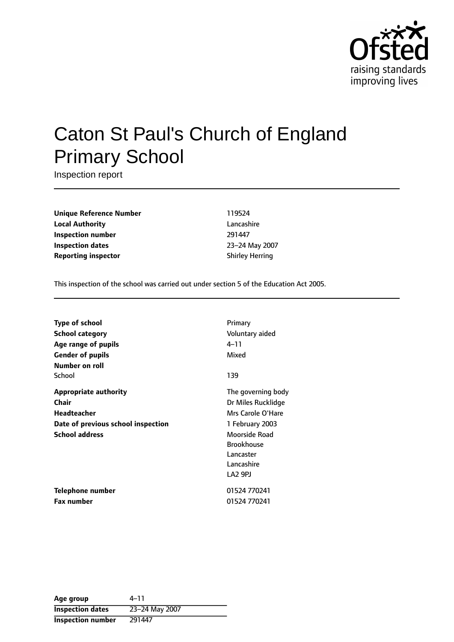

# Caton St Paul's Church of England Primary School

Inspection report

**Unique Reference Number** 119524 **Local Authority** Lancashire **Inspection number** 291447 **Inspection dates** 23-24 May 2007 **Reporting inspector Contract Shirley Herring** 

This inspection of the school was carried out under section 5 of the Education Act 2005.

| <b>Type of school</b>              | Primary             |
|------------------------------------|---------------------|
| <b>School category</b>             | Voluntary aided     |
| Age range of pupils                | 4–11                |
| <b>Gender of pupils</b>            | Mixed               |
| <b>Number on roll</b>              |                     |
| School                             | 139                 |
| <b>Appropriate authority</b>       | The governing body  |
| <b>Chair</b>                       | Dr Miles Rucklidge  |
| Headteacher                        | Mrs Carole O'Hare   |
| Date of previous school inspection | 1 February 2003     |
| <b>School address</b>              | Moorside Road       |
|                                    | <b>Brookhouse</b>   |
|                                    | Lancaster           |
|                                    | Lancashire          |
|                                    | LA <sub>2</sub> 9PJ |
| <b>Telephone number</b>            | 01524 770241        |
| Fax number                         | 01524 770241        |

| Age group                | 4–11           |
|--------------------------|----------------|
| <b>Inspection dates</b>  | 23-24 May 2007 |
| <b>Inspection number</b> | 291447         |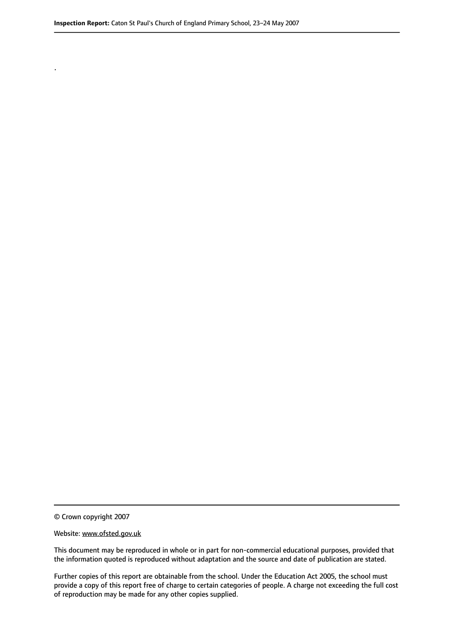© Crown copyright 2007

.

#### Website: www.ofsted.gov.uk

This document may be reproduced in whole or in part for non-commercial educational purposes, provided that the information quoted is reproduced without adaptation and the source and date of publication are stated.

Further copies of this report are obtainable from the school. Under the Education Act 2005, the school must provide a copy of this report free of charge to certain categories of people. A charge not exceeding the full cost of reproduction may be made for any other copies supplied.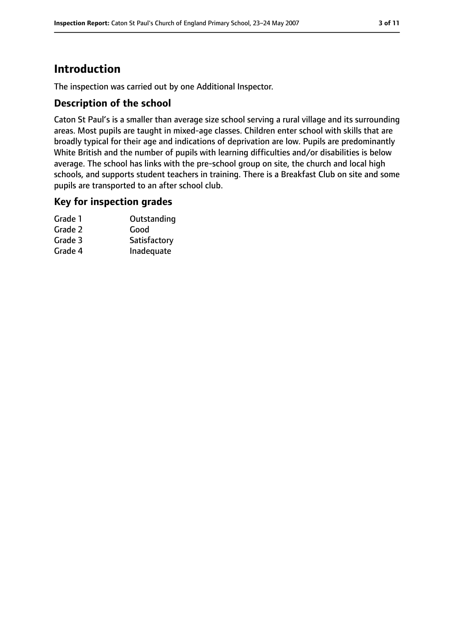# **Introduction**

The inspection was carried out by one Additional Inspector.

#### **Description of the school**

Caton St Paul's is a smaller than average size school serving a rural village and its surrounding areas. Most pupils are taught in mixed-age classes. Children enter school with skills that are broadly typical for their age and indications of deprivation are low. Pupils are predominantly White British and the number of pupils with learning difficulties and/or disabilities is below average. The school has links with the pre-school group on site, the church and local high schools, and supports student teachers in training. There is a Breakfast Club on site and some pupils are transported to an after school club.

#### **Key for inspection grades**

| Grade 1 | Outstanding  |
|---------|--------------|
| Grade 2 | Good         |
| Grade 3 | Satisfactory |
| Grade 4 | Inadequate   |
|         |              |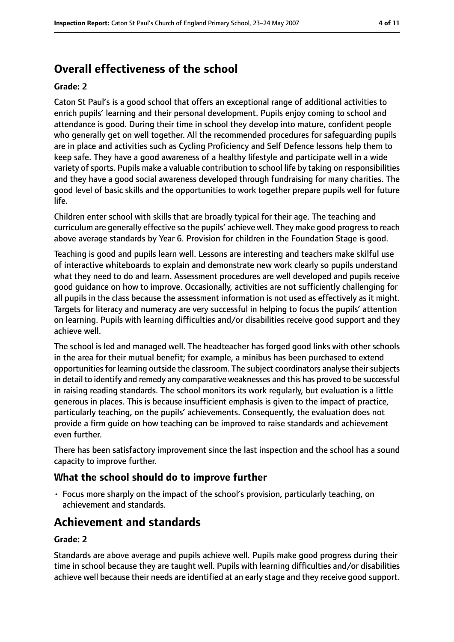# **Overall effectiveness of the school**

#### **Grade: 2**

Caton St Paul's is a good school that offers an exceptional range of additional activities to enrich pupils' learning and their personal development. Pupils enjoy coming to school and attendance is good. During their time in school they develop into mature, confident people who generally get on well together. All the recommended procedures for safeguarding pupils are in place and activities such as Cycling Proficiency and Self Defence lessons help them to keep safe. They have a good awareness of a healthy lifestyle and participate well in a wide variety of sports. Pupils make a valuable contribution to school life by taking on responsibilities and they have a good social awareness developed through fundraising for many charities. The good level of basic skills and the opportunities to work together prepare pupils well for future life.

Children enter school with skills that are broadly typical for their age. The teaching and curriculum are generally effective so the pupils' achieve well. They make good progressto reach above average standards by Year 6. Provision for children in the Foundation Stage is good.

Teaching is good and pupils learn well. Lessons are interesting and teachers make skilful use of interactive whiteboards to explain and demonstrate new work clearly so pupils understand what they need to do and learn. Assessment procedures are well developed and pupils receive good guidance on how to improve. Occasionally, activities are not sufficiently challenging for all pupils in the class because the assessment information is not used as effectively as it might. Targets for literacy and numeracy are very successful in helping to focus the pupils' attention on learning. Pupils with learning difficulties and/or disabilities receive good support and they achieve well.

The school is led and managed well. The headteacher has forged good links with other schools in the area for their mutual benefit; for example, a minibus has been purchased to extend opportunities for learning outside the classroom. The subject coordinators analyse their subjects in detail to identify and remedy any comparative weaknesses and this has proved to be successful in raising reading standards. The school monitors its work regularly, but evaluation is a little generous in places. This is because insufficient emphasis is given to the impact of practice, particularly teaching, on the pupils' achievements. Consequently, the evaluation does not provide a firm guide on how teaching can be improved to raise standards and achievement even further.

There has been satisfactory improvement since the last inspection and the school has a sound capacity to improve further.

#### **What the school should do to improve further**

• Focus more sharply on the impact of the school's provision, particularly teaching, on achievement and standards.

## **Achievement and standards**

#### **Grade: 2**

Standards are above average and pupils achieve well. Pupils make good progress during their time in school because they are taught well. Pupils with learning difficulties and/or disabilities achieve well because their needs are identified at an early stage and they receive good support.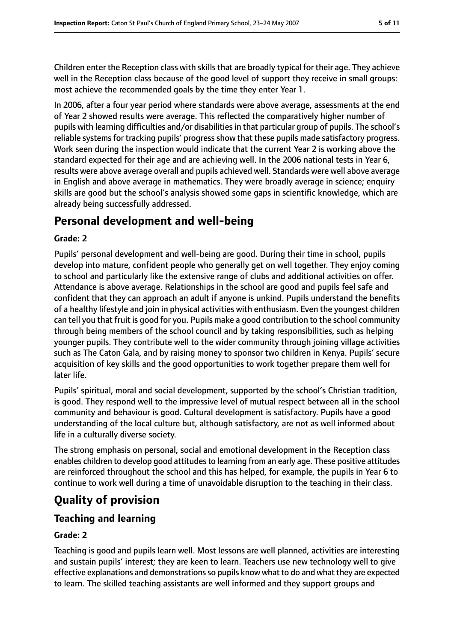Children enter the Reception class with skills that are broadly typical for their age. They achieve well in the Reception class because of the good level of support they receive in small groups: most achieve the recommended goals by the time they enter Year 1.

In 2006, after a four year period where standards were above average, assessments at the end of Year 2 showed results were average. This reflected the comparatively higher number of pupils with learning difficulties and/or disabilities in that particular group of pupils. The school's reliable systems for tracking pupils' progress show that these pupils made satisfactory progress. Work seen during the inspection would indicate that the current Year 2 is working above the standard expected for their age and are achieving well. In the 2006 national tests in Year 6, results were above average overall and pupils achieved well. Standards were well above average in English and above average in mathematics. They were broadly average in science; enquiry skills are good but the school's analysis showed some gaps in scientific knowledge, which are already being successfully addressed.

# **Personal development and well-being**

#### **Grade: 2**

Pupils' personal development and well-being are good. During their time in school, pupils develop into mature, confident people who generally get on well together. They enjoy coming to school and particularly like the extensive range of clubs and additional activities on offer. Attendance is above average. Relationships in the school are good and pupils feel safe and confident that they can approach an adult if anyone is unkind. Pupils understand the benefits of a healthy lifestyle and join in physical activities with enthusiasm. Even the youngest children can tell you that fruit is good for you. Pupils make a good contribution to the school community through being members of the school council and by taking responsibilities, such as helping younger pupils. They contribute well to the wider community through joining village activities such as The Caton Gala, and by raising money to sponsor two children in Kenya. Pupils' secure acquisition of key skills and the good opportunities to work together prepare them well for later life.

Pupils' spiritual, moral and social development, supported by the school's Christian tradition, is good. They respond well to the impressive level of mutual respect between all in the school community and behaviour is good. Cultural development is satisfactory. Pupils have a good understanding of the local culture but, although satisfactory, are not as well informed about life in a culturally diverse society.

The strong emphasis on personal, social and emotional development in the Reception class enables children to develop good attitudes to learning from an early age. These positive attitudes are reinforced throughout the school and this has helped, for example, the pupils in Year 6 to continue to work well during a time of unavoidable disruption to the teaching in their class.

# **Quality of provision**

## **Teaching and learning**

#### **Grade: 2**

Teaching is good and pupils learn well. Most lessons are well planned, activities are interesting and sustain pupils' interest; they are keen to learn. Teachers use new technology well to give effective explanations and demonstrationsso pupils know what to do and what they are expected to learn. The skilled teaching assistants are well informed and they support groups and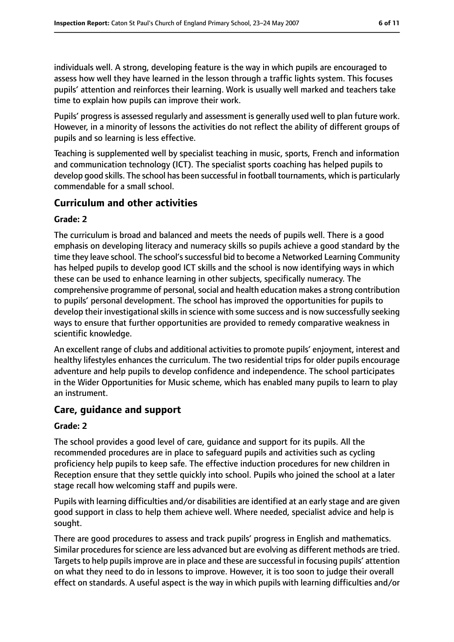individuals well. A strong, developing feature is the way in which pupils are encouraged to assess how well they have learned in the lesson through a traffic lights system. This focuses pupils' attention and reinforces their learning. Work is usually well marked and teachers take time to explain how pupils can improve their work.

Pupils' progress is assessed regularly and assessment is generally used well to plan future work. However, in a minority of lessons the activities do not reflect the ability of different groups of pupils and so learning is less effective.

Teaching is supplemented well by specialist teaching in music, sports, French and information and communication technology (ICT). The specialist sports coaching has helped pupils to develop good skills. The school has been successful in football tournaments, which is particularly commendable for a small school.

## **Curriculum and other activities**

#### **Grade: 2**

The curriculum is broad and balanced and meets the needs of pupils well. There is a good emphasis on developing literacy and numeracy skills so pupils achieve a good standard by the time they leave school. The school's successful bid to become a Networked Learning Community has helped pupils to develop good ICT skills and the school is now identifying ways in which these can be used to enhance learning in other subjects, specifically numeracy. The comprehensive programme of personal, social and health education makes a strong contribution to pupils' personal development. The school has improved the opportunities for pupils to develop their investigational skills in science with some success and is now successfully seeking ways to ensure that further opportunities are provided to remedy comparative weakness in scientific knowledge.

An excellent range of clubs and additional activities to promote pupils' enjoyment, interest and healthy lifestyles enhances the curriculum. The two residential trips for older pupils encourage adventure and help pupils to develop confidence and independence. The school participates in the Wider Opportunities for Music scheme, which has enabled many pupils to learn to play an instrument.

#### **Care, guidance and support**

#### **Grade: 2**

The school provides a good level of care, guidance and support for its pupils. All the recommended procedures are in place to safeguard pupils and activities such as cycling proficiency help pupils to keep safe. The effective induction procedures for new children in Reception ensure that they settle quickly into school. Pupils who joined the school at a later stage recall how welcoming staff and pupils were.

Pupils with learning difficulties and/or disabilities are identified at an early stage and are given good support in class to help them achieve well. Where needed, specialist advice and help is sought.

There are good procedures to assess and track pupils' progress in English and mathematics. Similar procedures for science are less advanced but are evolving as different methods are tried. Targets to help pupils improve are in place and these are successful in focusing pupils' attention on what they need to do in lessons to improve. However, it is too soon to judge their overall effect on standards. A useful aspect is the way in which pupils with learning difficulties and/or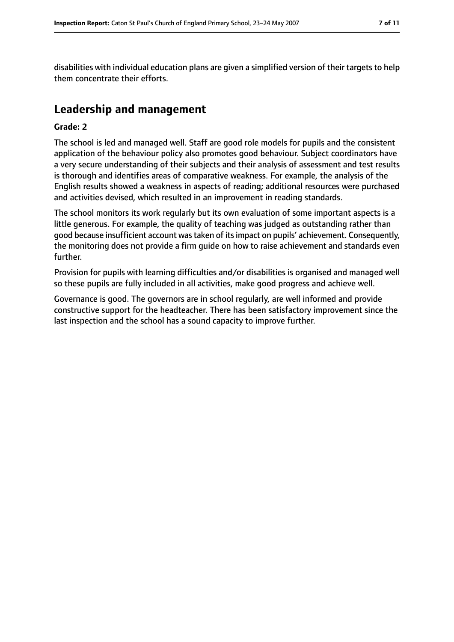disabilities with individual education plans are given a simplified version of their targets to help them concentrate their efforts.

# **Leadership and management**

#### **Grade: 2**

The school is led and managed well. Staff are good role models for pupils and the consistent application of the behaviour policy also promotes good behaviour. Subject coordinators have a very secure understanding of their subjects and their analysis of assessment and test results is thorough and identifies areas of comparative weakness. For example, the analysis of the English results showed a weakness in aspects of reading; additional resources were purchased and activities devised, which resulted in an improvement in reading standards.

The school monitors its work regularly but its own evaluation of some important aspects is a little generous. For example, the quality of teaching was judged as outstanding rather than good because insufficient account wastaken of itsimpact on pupils' achievement. Consequently, the monitoring does not provide a firm guide on how to raise achievement and standards even further.

Provision for pupils with learning difficulties and/or disabilities is organised and managed well so these pupils are fully included in all activities, make good progress and achieve well.

Governance is good. The governors are in school regularly, are well informed and provide constructive support for the headteacher. There has been satisfactory improvement since the last inspection and the school has a sound capacity to improve further.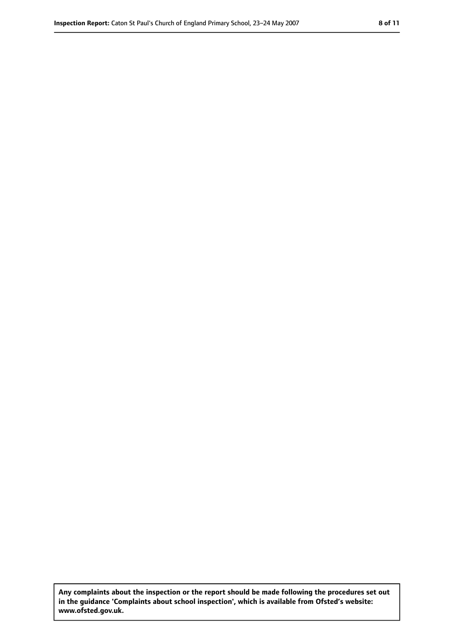**Any complaints about the inspection or the report should be made following the procedures set out in the guidance 'Complaints about school inspection', which is available from Ofsted's website: www.ofsted.gov.uk.**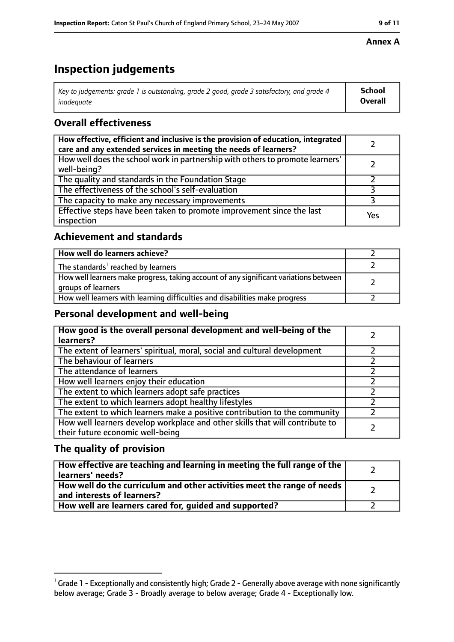# **Inspection judgements**

| Key to judgements: grade 1 is outstanding, grade 2 good, grade 3 satisfactory, and grade 4 | <b>School</b>  |
|--------------------------------------------------------------------------------------------|----------------|
| inadeauate                                                                                 | <b>Overall</b> |

## **Overall effectiveness**

| How effective, efficient and inclusive is the provision of education, integrated<br>care and any extended services in meeting the needs of learners? |     |
|------------------------------------------------------------------------------------------------------------------------------------------------------|-----|
| How well does the school work in partnership with others to promote learners'<br>well-being?                                                         |     |
| The quality and standards in the Foundation Stage                                                                                                    |     |
| The effectiveness of the school's self-evaluation                                                                                                    |     |
| The capacity to make any necessary improvements                                                                                                      |     |
| Effective steps have been taken to promote improvement since the last<br>inspection                                                                  | Yes |

## **Achievement and standards**

| How well do learners achieve?                                                                               |  |
|-------------------------------------------------------------------------------------------------------------|--|
| The standards <sup>1</sup> reached by learners                                                              |  |
| How well learners make progress, taking account of any significant variations between<br>groups of learners |  |
| How well learners with learning difficulties and disabilities make progress                                 |  |

## **Personal development and well-being**

| How good is the overall personal development and well-being of the<br>learners?                                  |  |
|------------------------------------------------------------------------------------------------------------------|--|
| The extent of learners' spiritual, moral, social and cultural development                                        |  |
| The behaviour of learners                                                                                        |  |
| The attendance of learners                                                                                       |  |
| How well learners enjoy their education                                                                          |  |
| The extent to which learners adopt safe practices                                                                |  |
| The extent to which learners adopt healthy lifestyles                                                            |  |
| The extent to which learners make a positive contribution to the community                                       |  |
| How well learners develop workplace and other skills that will contribute to<br>their future economic well-being |  |

## **The quality of provision**

| How effective are teaching and learning in meeting the full range of the<br>learners' needs?          |  |
|-------------------------------------------------------------------------------------------------------|--|
| How well do the curriculum and other activities meet the range of needs<br>and interests of learners? |  |
| How well are learners cared for, guided and supported?                                                |  |

### **Annex A**

 $^1$  Grade 1 - Exceptionally and consistently high; Grade 2 - Generally above average with none significantly below average; Grade 3 - Broadly average to below average; Grade 4 - Exceptionally low.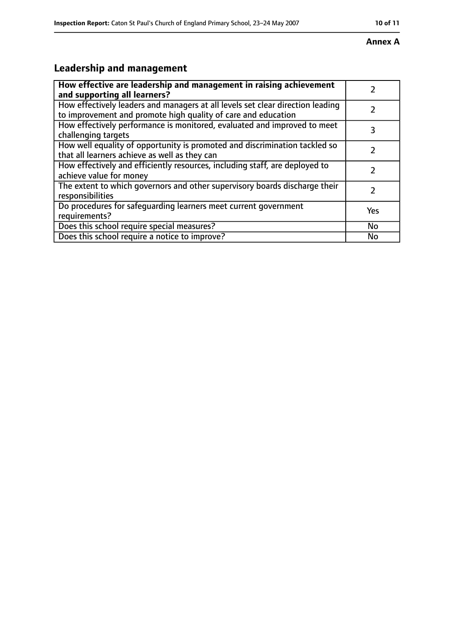#### **Annex A**

# **Leadership and management**

| How effective are leadership and management in raising achievement                                                                              |     |
|-------------------------------------------------------------------------------------------------------------------------------------------------|-----|
| and supporting all learners?                                                                                                                    |     |
| How effectively leaders and managers at all levels set clear direction leading<br>to improvement and promote high quality of care and education |     |
| How effectively performance is monitored, evaluated and improved to meet<br>challenging targets                                                 | 3   |
| How well equality of opportunity is promoted and discrimination tackled so<br>that all learners achieve as well as they can                     |     |
| How effectively and efficiently resources, including staff, are deployed to<br>achieve value for money                                          | 7   |
| The extent to which governors and other supervisory boards discharge their<br>responsibilities                                                  | 7   |
| Do procedures for safequarding learners meet current government<br>requirements?                                                                | Yes |
| Does this school require special measures?                                                                                                      | No  |
| Does this school require a notice to improve?                                                                                                   | No  |